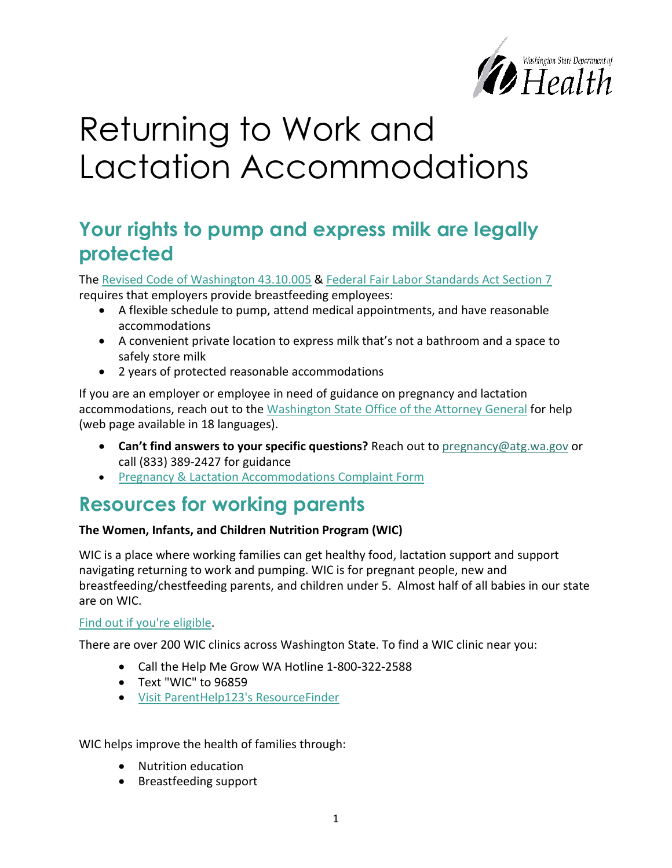

# Returning to Work and Lactation Accommodations

# **Your rights to pump and express milk are legally protected**

The [Revised Code of Washington 43.10.005](https://app.leg.wa.gov/rcw/default.aspx?cite=43.10.005) & [Federal Fair Labor Standards Act Section 7](https://www.dol.gov/agencies/whd/nursing-mothers) requires that employers provide breastfeeding employees:

- A flexible schedule to pump, attend medical appointments, and have reasonable accommodations
- A convenient private location to express milk that's not a bathroom and a space to safely store milk
- 2 years of protected reasonable accommodations

If you are an employer or employee in need of guidance on pregnancy and lactation accommodations, reach out to the [Washington State Office of the Attorney General](http://www.atg.wa.gov/pregnancy-and-breastfeeding-accommodations) for help (web page available in 18 languages).

- **Can't find answers to your specific questions?** Reach out to [pregnancy@atg.wa.gov](mailto:pregnancy@atg.wa.gov) or call (833) 389-2427 for guidance
- [Pregnancy & Lactation Accommodations Complaint Form](https://fortress.wa.gov/atg/formhandlerdev/ago/PregnancyAccommodationsComplaintForm.aspx)

# **Resources for working parents**

### **The Women, Infants, and Children Nutrition Program (WIC)**

WIC is a place where working families can get healthy food, lactation support and support navigating returning to work and pumping. WIC is for pregnant people, new and breastfeeding/chestfeeding parents, and children under 5. Almost half of all babies in our state are on WIC.

### [Find out if you're eligible.](https://www.doh.wa.gov/YouandYourFamily/WIC/Eligibility)

There are over 200 WIC clinics across Washington State. To find a WIC clinic near you:

- Call the Help Me Grow WA Hotline 1-800-322-2588
- Text "WIC" to 96859
- [Visit ParentHelp123's ResourceFinder](https://resources.parenthelp123.org/services/wic-nutrition-program-for-women-infants-children)

WIC helps improve the health of families through:

- Nutrition education
- Breastfeeding support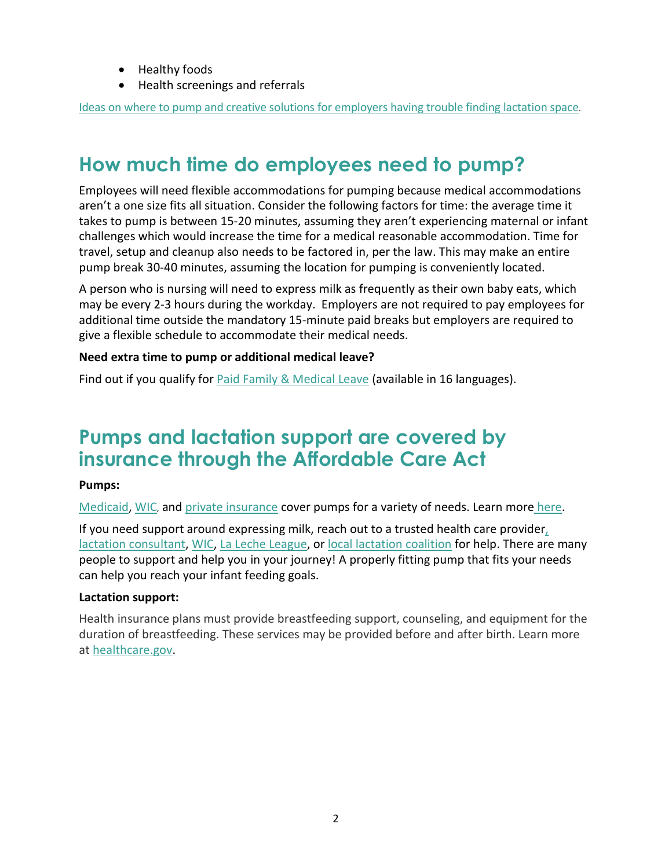- Healthy foods
- Health screenings and referrals

[Ideas on where to pump and creative solutions for employers having trouble finding lactation space.](https://www.womenshealth.gov/supporting-nursing-moms-work/break-time-and-private-space/location-breaks)

# **How much time do employees need to pump?**

Employees will need flexible accommodations for pumping because medical accommodations aren't a one size fits all situation. Consider the following factors for time: the average time it takes to pump is between 15-20 minutes, assuming they aren't experiencing maternal or infant challenges which would increase the time for a medical reasonable accommodation. Time for travel, setup and cleanup also needs to be factored in, per the law. This may make an entire pump break 30-40 minutes, assuming the location for pumping is conveniently located.

A person who is nursing will need to express milk as frequently as their own baby eats, which may be every 2-3 hours during the workday. Employers are not required to pay employees for additional time outside the mandatory 15-minute paid breaks but employers are required to give a flexible schedule to accommodate their medical needs.

### **Need extra time to pump or additional medical leave?**

Find out if you qualify for [Paid Family & Medical Leave](http://www.paidleave.wa.gov/) (available in 16 languages).

### **Pumps and lactation support are covered by insurance through the Affordable Care Act**

### **Pumps:**

[Medicaid,](https://www.hca.wa.gov/health-care-services-supports/apple-health-medicaid-coverage/first-steps-maternity-and-infant-care#:%7E:text=First%20Steps%20is%20a%20program%20that%20helps%20low-income,and%20is%20covered%20by%20Washington%20Apple%20Health%20%28Medicaid%29.) [WIC,](https://www.doh.wa.gov/YouandYourFamily/WIC) and [private insurance](https://www.wahealthplanfinder.org/) cover pumps for a variety of needs. Learn more [here.](https://www.healthcare.gov/coverage)

If you need support around expressing milk, reach out to a trusted health care provide[r,](https://uslca.org/resources/find-a-lactation-consultant-map/) [lactation consultant,](https://uslca.org/resources/find-a-lactation-consultant-map/) [WIC,](https://wicbreastfeeding.fns.usda.gov/finding-breast-pump) [La Leche League,](https://www.llli.org/breastfeeding-info/pumping-milk/) o[r local lactation coalition](https://www.doh.wa.gov/Portals/1/Documents/Pubs/340-334-LocalBreastfeedingCoalitions.pdf) for help. There are many people to support and help you in your journey! A properly fitting pump that fits your needs can help you reach your infant feeding goals.

#### **Lactation support:**

Health insurance plans must provide breastfeeding support, counseling, and equipment for the duration of breastfeeding. These services may be provided before and after birth. Learn more at [healthcare.gov.](https://www.healthcare.gov/coverage/breast-feeding-benefits/)